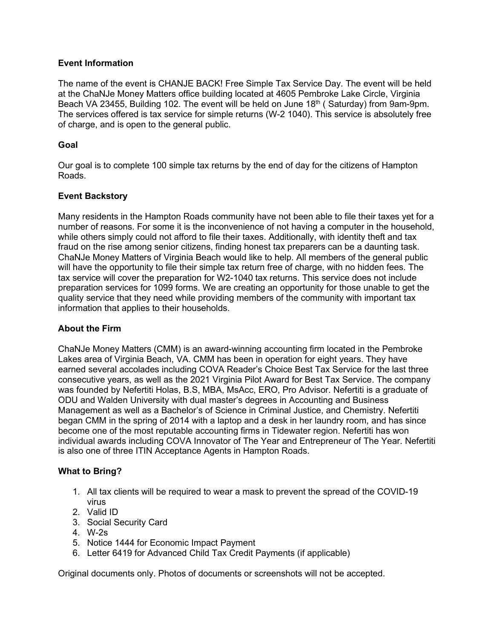## **Event Information**

The name of the event is CHANJE BACK! Free Simple Tax Service Day. The event will be held at the ChaNJe Money Matters office building located at 4605 Pembroke Lake Circle, Virginia Beach VA 23455, Building 102. The event will be held on June 18<sup>th</sup> (Saturday) from 9am-9pm. The services offered is tax service for simple returns (W-2 1040). This service is absolutely free of charge, and is open to the general public.

#### **Goal**

Our goal is to complete 100 simple tax returns by the end of day for the citizens of Hampton Roads.

## **Event Backstory**

Many residents in the Hampton Roads community have not been able to file their taxes yet for a number of reasons. For some it is the inconvenience of not having a computer in the household, while others simply could not afford to file their taxes. Additionally, with identity theft and tax fraud on the rise among senior citizens, finding honest tax preparers can be a daunting task. ChaNJe Money Matters of Virginia Beach would like to help. All members of the general public will have the opportunity to file their simple tax return free of charge, with no hidden fees. The tax service will cover the preparation for W2-1040 tax returns. This service does not include preparation services for 1099 forms. We are creating an opportunity for those unable to get the quality service that they need while providing members of the community with important tax information that applies to their households.

## **About the Firm**

ChaNJe Money Matters (CMM) is an award-winning accounting firm located in the Pembroke Lakes area of Virginia Beach, VA. CMM has been in operation for eight years. They have earned several accolades including COVA Reader's Choice Best Tax Service for the last three consecutive years, as well as the 2021 Virginia Pilot Award for Best Tax Service. The company was founded by Nefertiti Holas, B.S, MBA, MsAcc, ERO, Pro Advisor. Nefertiti is a graduate of ODU and Walden University with dual master's degrees in Accounting and Business Management as well as a Bachelor's of Science in Criminal Justice, and Chemistry. Nefertiti began CMM in the spring of 2014 with a laptop and a desk in her laundry room, and has since become one of the most reputable accounting firms in Tidewater region. Nefertiti has won individual awards including COVA Innovator of The Year and Entrepreneur of The Year. Nefertiti is also one of three ITIN Acceptance Agents in Hampton Roads.

## **What to Bring?**

- 1. All tax clients will be required to wear a mask to prevent the spread of the COVID-19 virus
- 2. Valid ID
- 3. Social Security Card
- 4. W-2s
- 5. Notice 1444 for Economic Impact Payment
- 6. Letter 6419 for Advanced Child Tax Credit Payments (if applicable)

Original documents only. Photos of documents or screenshots will not be accepted.